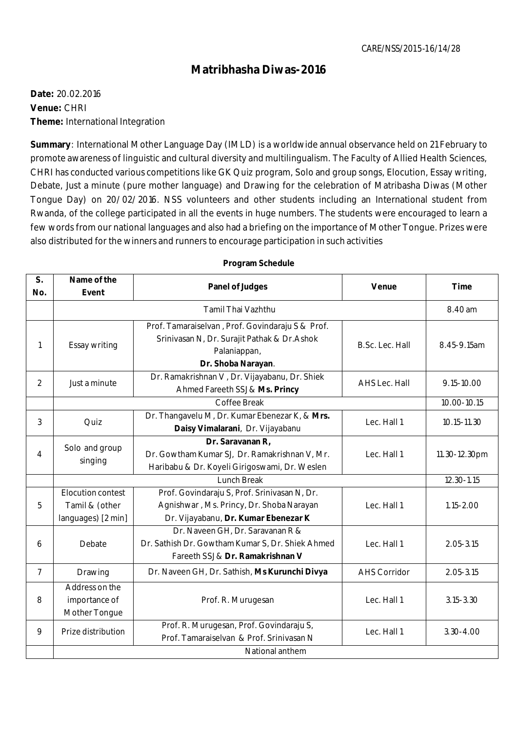## **Matribhasha Diwas-2016**

**Date:** 20.02.2016 **Venue:** CHRI **Theme:** International Integration

**Summary**: International Mother Language Day (IMLD) is a worldwide annual observance held on 21 February to promote awareness of linguistic and cultural diversity and multilingualism. The Faculty of Allied Health Sciences, CHRI has conducted various competitions like GK Quiz program, Solo and group songs, Elocution, Essay writing, Debate, Just a minute (pure mother language) and Drawing for the celebration of Matribasha Diwas (Mother Tongue Day) on 20/02/2016. NSS volunteers and other students including an International student from Rwanda, of the college participated in all the events in huge numbers. The students were encouraged to learn a few words from our national languages and also had a briefing on the importance of Mother Tongue. Prizes were also distributed for the winners and runners to encourage participation in such activities

| S <sub>1</sub> | Name of the                                               | <b>Panel of Judges</b>                                                                                                                 | Venue               | <b>Time</b>   |
|----------------|-----------------------------------------------------------|----------------------------------------------------------------------------------------------------------------------------------------|---------------------|---------------|
| No.            | Event                                                     |                                                                                                                                        |                     |               |
|                | <b>Tamil Thai Vazhthu</b>                                 |                                                                                                                                        |                     | 8.40 am       |
| 1              | Essay writing                                             | Prof. Tamaraiselvan, Prof. Govindaraju S & Prof.<br>Srinivasan N, Dr. Surajit Pathak & Dr. Ashok<br>Palaniappan,<br>Dr. Shoba Narayan. | B.Sc. Lec. Hall     | 8.45-9.15am   |
| 2              | Just a minute                                             | Dr. Ramakrishnan V, Dr. Vijayabanu, Dr. Shiek<br>Ahmed Fareeth SSJ & Ms. Princy                                                        | AHS Lec. Hall       | 9.15-10.00    |
|                | Coffee Break                                              |                                                                                                                                        |                     | 10.00-10.15   |
| 3              | Quiz                                                      | Dr. Thangavelu M, Dr. Kumar Ebenezar K, & Mrs.<br>Daisy Vimalarani, Dr. Vijayabanu                                                     | Lec. Hall 1         | 10.15-11.30   |
| 4              | Solo and group<br>singing                                 | Dr. Saravanan R,<br>Dr. Gowtham Kumar SJ, Dr. Ramakrishnan V, Mr.<br>Haribabu & Dr. Koyeli Girigoswami, Dr. Weslen                     | Lec. Hall 1         | 11.30-12.30pm |
|                | Lunch Break                                               |                                                                                                                                        |                     | 12.30-1.15    |
| 5              | Elocution contest<br>Tamil & (other<br>languages) [2 min] | Prof. Govindaraju S, Prof. Srinivasan N, Dr.<br>Agnishwar, Ms. Princy, Dr. Shoba Narayan<br>Dr. Vijayabanu, Dr. Kumar Ebenezar K       | Lec. Hall 1         | $1.15 - 2.00$ |
| 6              | Debate                                                    | Dr. Naveen GH, Dr. Saravanan R &<br>Dr. Sathish Dr. Gowtham Kumar S, Dr. Shiek Ahmed<br>Fareeth SSJ & Dr. Ramakrishnan V               | Lec. Hall 1         | $2.05 - 3.15$ |
| $\overline{7}$ | Drawing                                                   | Dr. Naveen GH, Dr. Sathish, Ms Kurunchi Divya                                                                                          | <b>AHS Corridor</b> | $2.05 - 3.15$ |
| 8              | Address on the<br>importance of<br>Mother Tongue          | Prof. R. Murugesan                                                                                                                     | Lec. Hall 1         | $3.15 - 3.30$ |
| 9              | Prize distribution                                        | Prof. R. Murugesan, Prof. Govindaraju S,<br>Prof. Tamaraiselvan & Prof. Srinivasan N                                                   | Lec. Hall 1         | $3.30 - 4.00$ |
|                | National anthem                                           |                                                                                                                                        |                     |               |

## **Program Schedule**